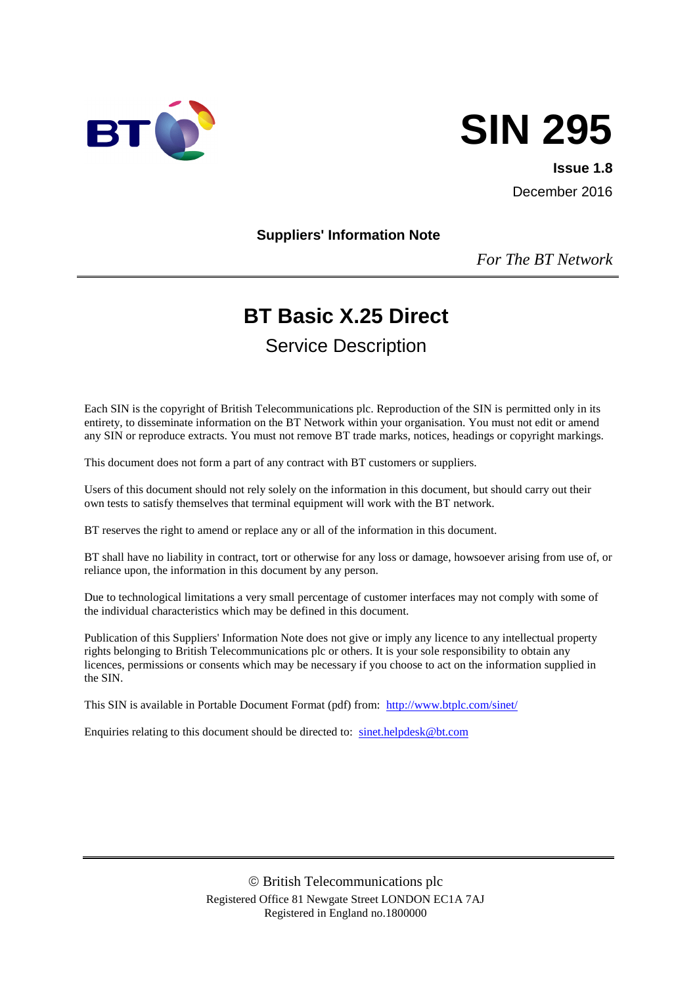



**Issue 1.8** December 2016

**Suppliers' Information Note**

*For The BT Network*

# **BT Basic X.25 Direct**

Service Description

Each SIN is the copyright of British Telecommunications plc. Reproduction of the SIN is permitted only in its entirety, to disseminate information on the BT Network within your organisation. You must not edit or amend any SIN or reproduce extracts. You must not remove BT trade marks, notices, headings or copyright markings.

This document does not form a part of any contract with BT customers or suppliers.

Users of this document should not rely solely on the information in this document, but should carry out their own tests to satisfy themselves that terminal equipment will work with the BT network.

BT reserves the right to amend or replace any or all of the information in this document.

BT shall have no liability in contract, tort or otherwise for any loss or damage, howsoever arising from use of, or reliance upon, the information in this document by any person.

Due to technological limitations a very small percentage of customer interfaces may not comply with some of the individual characteristics which may be defined in this document.

Publication of this Suppliers' Information Note does not give or imply any licence to any intellectual property rights belonging to British Telecommunications plc or others. It is your sole responsibility to obtain any licences, permissions or consents which may be necessary if you choose to act on the information supplied in the SIN.

This SIN is available in Portable Document Format (pdf) from: <http://www.btplc.com/sinet/>

Enquiries relating to this document should be directed to: [sinet.helpdesk@bt.com](mailto:sinet.helpdesk@bt.com)

 British Telecommunications plc Registered Office 81 Newgate Street LONDON EC1A 7AJ Registered in England no.1800000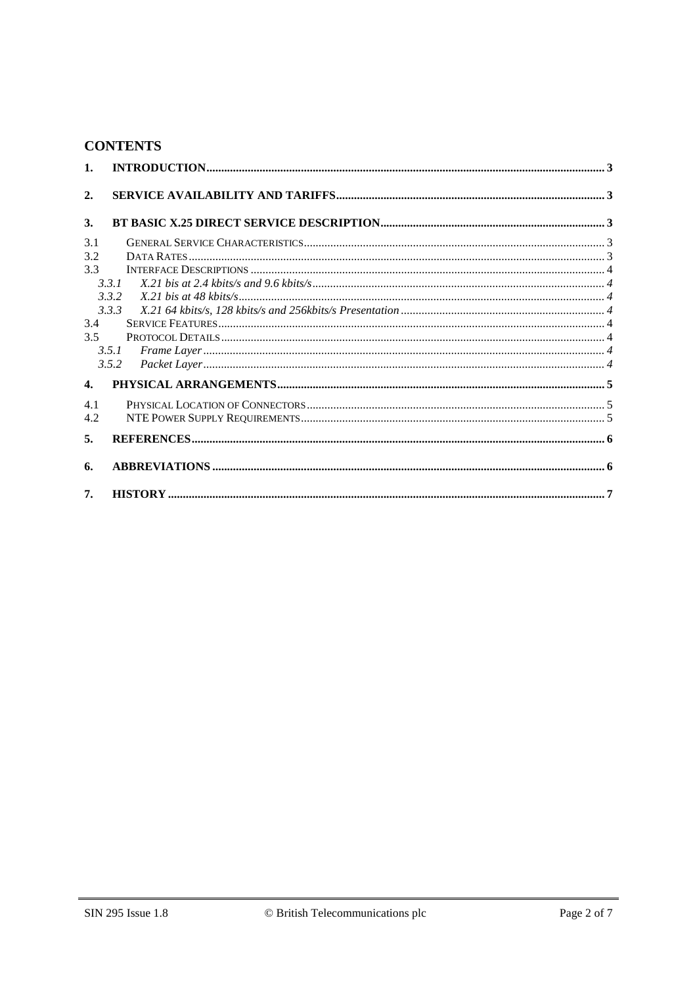#### **CONTENTS**

| 1.           |       |  |
|--------------|-------|--|
| 2.           |       |  |
| 3.           |       |  |
| 3.1          |       |  |
| 3.2          |       |  |
| 3.3          |       |  |
|              | 3.3.1 |  |
|              | 3.3.2 |  |
|              | 3.3.3 |  |
| 3.4          |       |  |
| 3.5          |       |  |
|              | 3.5.1 |  |
|              | 3.5.2 |  |
| $\mathbf{4}$ |       |  |
| 4.1          |       |  |
| 4.2          |       |  |
|              |       |  |
| 5.           |       |  |
| 6.           |       |  |
| 7.           |       |  |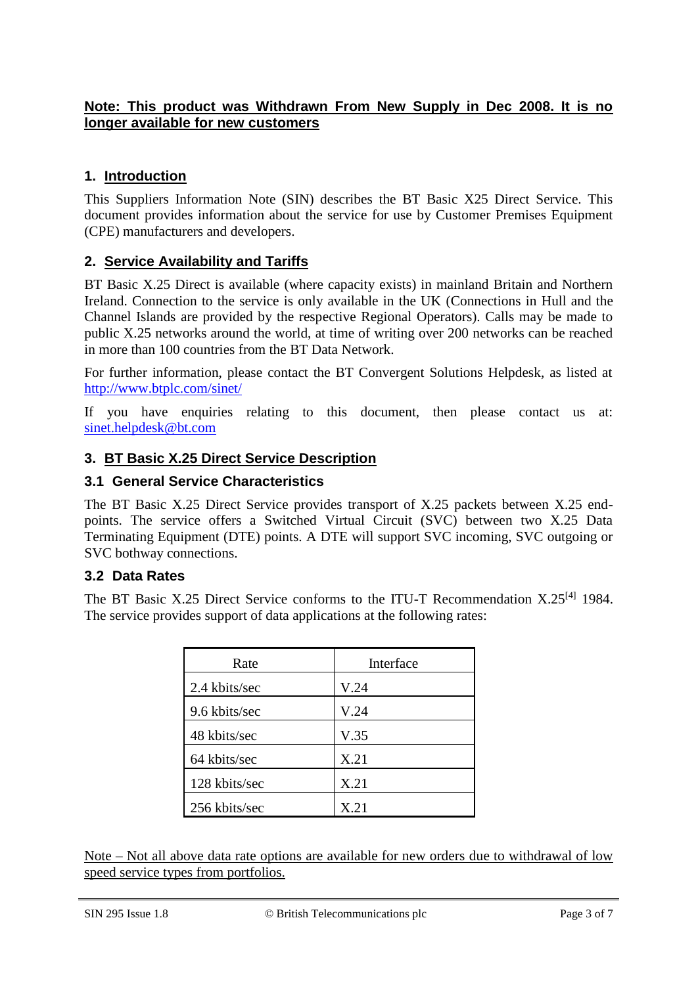## **Note: This product was Withdrawn From New Supply in Dec 2008. It is no longer available for new customers**

# **1. Introduction**

This Suppliers Information Note (SIN) describes the BT Basic X25 Direct Service. This document provides information about the service for use by Customer Premises Equipment (CPE) manufacturers and developers.

# **2. Service Availability and Tariffs**

BT Basic X.25 Direct is available (where capacity exists) in mainland Britain and Northern Ireland. Connection to the service is only available in the UK (Connections in Hull and the Channel Islands are provided by the respective Regional Operators). Calls may be made to public X.25 networks around the world, at time of writing over 200 networks can be reached in more than 100 countries from the BT Data Network.

For further information, please contact the BT Convergent Solutions Helpdesk, as listed at <http://www.btplc.com/sinet/>

If you have enquiries relating to this document, then please contact us at: [sinet.helpdesk@bt.com](mailto:sinet.helpdesk@bt.com)

# **3. BT Basic X.25 Direct Service Description**

# **3.1 General Service Characteristics**

The BT Basic X.25 Direct Service provides transport of X.25 packets between X.25 endpoints. The service offers a Switched Virtual Circuit (SVC) between two X.25 Data Terminating Equipment (DTE) points. A DTE will support SVC incoming, SVC outgoing or SVC bothway connections.

# **3.2 Data Rates**

The BT Basic X.25 Direct Service conforms to the ITU-T Recommendation X.25<sup>[\[4\]](#page-5-0)</sup> 1984. The service provides support of data applications at the following rates:

| Rate          | Interface |
|---------------|-----------|
| 2.4 kbits/sec | V.24      |
| 9.6 kbits/sec | V.24      |
| 48 kbits/sec  | V.35      |
| 64 kbits/sec  | X.21      |
| 128 kbits/sec | X.21      |
| 256 kbits/sec | X.21      |

Note – Not all above data rate options are available for new orders due to withdrawal of low speed service types from portfolios.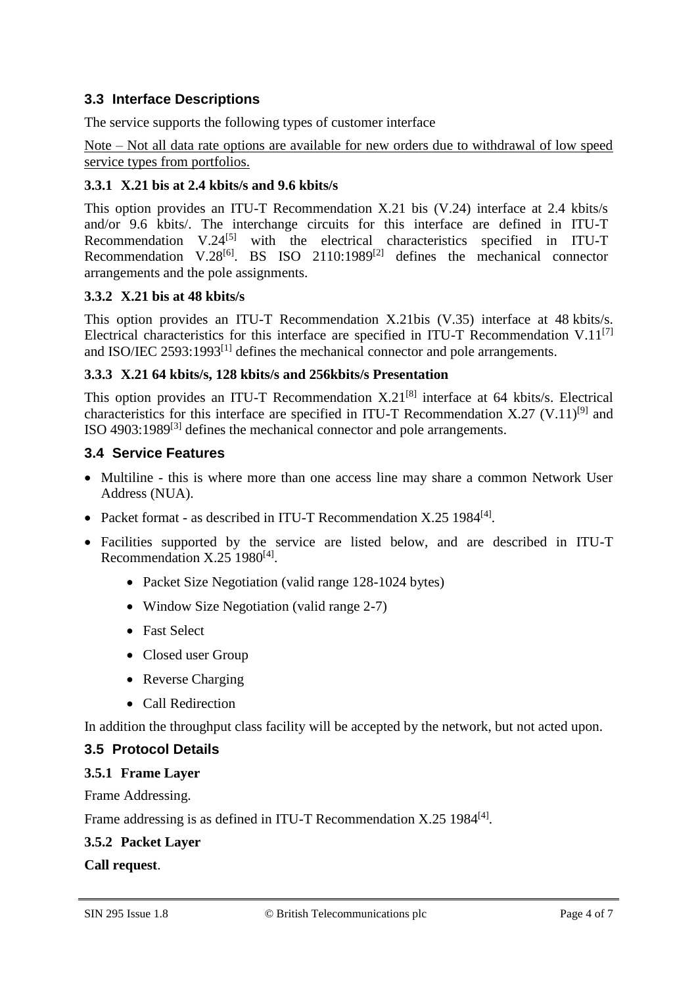# **3.3 Interface Descriptions**

The service supports the following types of customer interface

Note – Not all data rate options are available for new orders due to withdrawal of low speed service types from portfolios.

# **3.3.1 X.21 bis at 2.4 kbits/s and 9.6 kbits/s**

This option provides an ITU-T Recommendation X.21 bis (V.24) interface at 2.4 kbits/s and/or 9.6 kbits/. The interchange circuits for this interface are defined in ITU-T Recommendation  $V.24^{[5]}$  $V.24^{[5]}$  $V.24^{[5]}$  with the electrical characteristics specified in ITU-T Recommendation V.28<sup>[\[6\]](#page-5-2)</sup>. BS ISO 2110:1989<sup>[\[2\]](#page-5-3)</sup> defines the mechanical connector arrangements and the pole assignments.

# **3.3.2 X.21 bis at 48 kbits/s**

This option provides an ITU-T Recommendation X.21bis (V.35) interface at 48 kbits/s. Electrical characteristics for this interface are specified in ITU-T Recommendation V.11<sup>[\[7\]](#page-5-4)</sup> and ISO/IEC 2593:1993 $^{[1]}$  $^{[1]}$  $^{[1]}$  defines the mechanical connector and pole arrangements.

# **3.3.3 X.21 64 kbits/s, 128 kbits/s and 256kbits/s Presentation**

This option provides an ITU-T Recommendation  $X.21^{[8]}$  $X.21^{[8]}$  $X.21^{[8]}$  interface at 64 kbits/s. Electrical characteristics for this interface are specified in ITU-T Recommendation X.27 (V.11)<sup>[\[9\]](#page-5-7)</sup> and ISO 4903:1989<sup>[\[3\]](#page-5-8)</sup> defines the mechanical connector and pole arrangements.

# **3.4 Service Features**

- Multiline this is where more than one access line may share a common Network User Address (NUA).
- Packet format as described in ITU-T Recommendation X.25 1984<sup>[\[4\]](#page-5-0)</sup>.
- Facilities supported by the service are listed below, and are described in ITU-T Recommendation X.25 1980<sup>[\[4\]](#page-5-0)</sup>.
	- Packet Size Negotiation (valid range 128-1024 bytes)
	- Window Size Negotiation (valid range 2-7)
	- Fast Select
	- Closed user Group
	- Reverse Charging
	- Call Redirection

In addition the throughput class facility will be accepted by the network, but not acted upon.

# **3.5 Protocol Details**

# **3.5.1 Frame Layer**

Frame Addressing.

Frame addressing is as defined in ITU-T Recommendation X.25 1984<sup>[\[4\]](#page-5-0)</sup>.

# **3.5.2 Packet Layer**

#### **Call request**.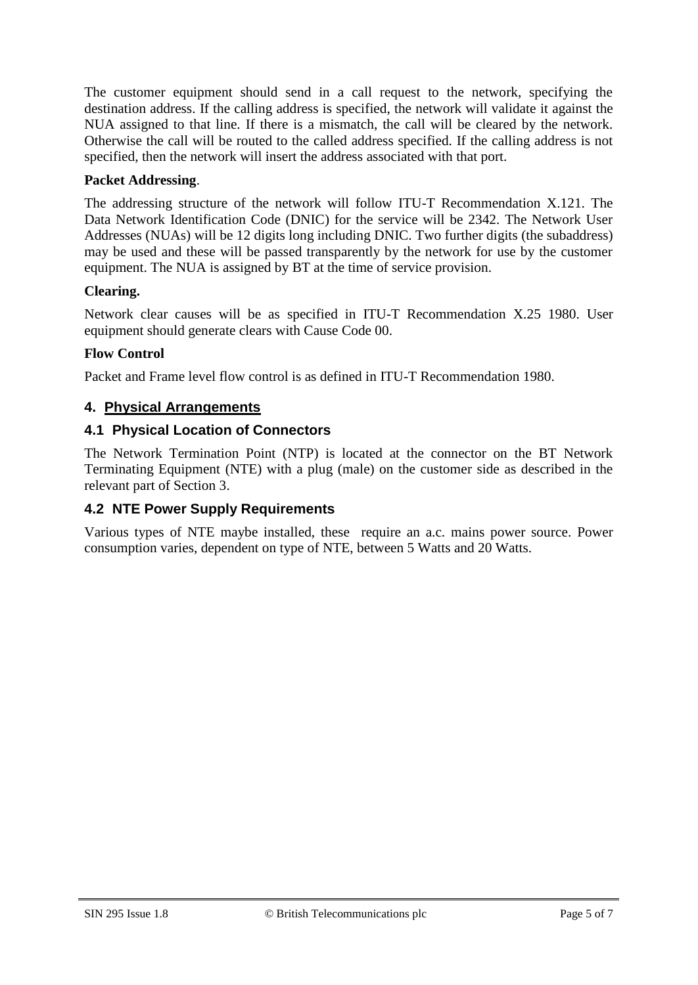The customer equipment should send in a call request to the network, specifying the destination address. If the calling address is specified, the network will validate it against the NUA assigned to that line. If there is a mismatch, the call will be cleared by the network. Otherwise the call will be routed to the called address specified. If the calling address is not specified, then the network will insert the address associated with that port.

## **Packet Addressing**.

The addressing structure of the network will follow ITU-T Recommendation X.121. The Data Network Identification Code (DNIC) for the service will be 2342. The Network User Addresses (NUAs) will be 12 digits long including DNIC. Two further digits (the subaddress) may be used and these will be passed transparently by the network for use by the customer equipment. The NUA is assigned by BT at the time of service provision.

#### **Clearing.**

Network clear causes will be as specified in ITU-T Recommendation X.25 1980. User equipment should generate clears with Cause Code 00.

#### **Flow Control**

Packet and Frame level flow control is as defined in ITU-T Recommendation 1980.

#### **4. Physical Arrangements**

#### **4.1 Physical Location of Connectors**

The Network Termination Point (NTP) is located at the connector on the BT Network Terminating Equipment (NTE) with a plug (male) on the customer side as described in the relevant part of Section 3.

#### **4.2 NTE Power Supply Requirements**

Various types of NTE maybe installed, these require an a.c. mains power source. Power consumption varies, dependent on type of NTE, between 5 Watts and 20 Watts.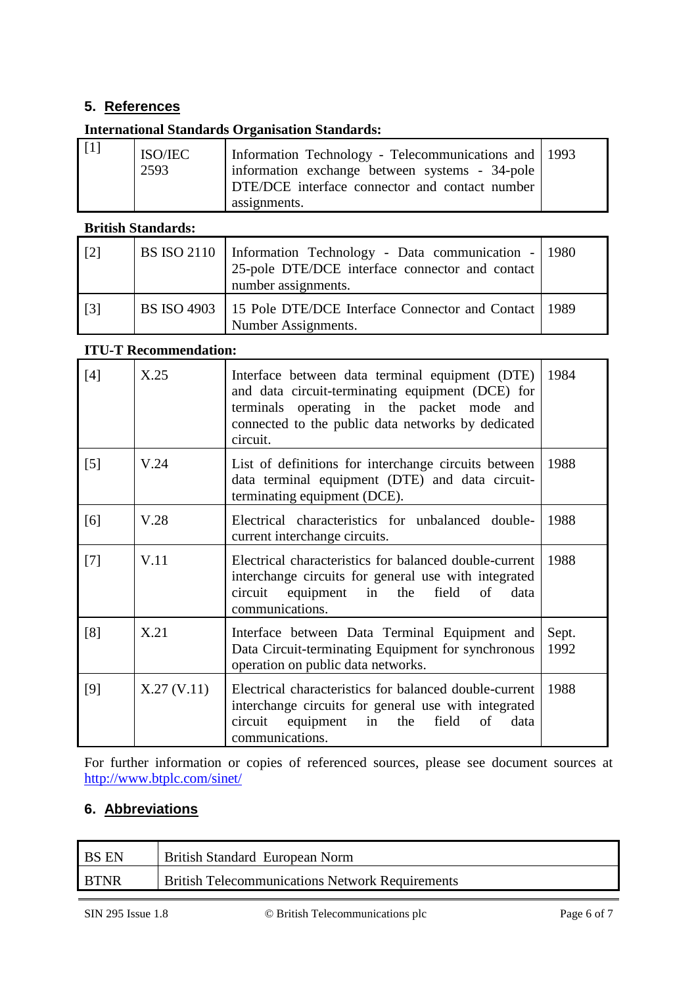# **5. References**

# **International Standards Organisation Standards:**

<span id="page-5-5"></span>

| $\vert$ [1] | ISO/IEC<br>2593 | Information Technology - Telecommunications and 1993<br>information exchange between systems - 34-pole<br>DTE/DCE interface connector and contact number<br>assignments. |  |
|-------------|-----------------|--------------------------------------------------------------------------------------------------------------------------------------------------------------------------|--|
|-------------|-----------------|--------------------------------------------------------------------------------------------------------------------------------------------------------------------------|--|

#### **British Standards:**

<span id="page-5-3"></span>

| $[2]$             | BS ISO 2110   Information Technology - Data communication -   1980<br>25-pole DTE/DCE interface connector and contact<br>number assignments. |  |
|-------------------|----------------------------------------------------------------------------------------------------------------------------------------------|--|
| $\lceil 3 \rceil$ | BS ISO 4903   15 Pole DTE/DCE Interface Connector and Contact   1989<br>Number Assignments.                                                  |  |

#### <span id="page-5-8"></span>**ITU-T Recommendation:**

<span id="page-5-4"></span><span id="page-5-2"></span><span id="page-5-1"></span><span id="page-5-0"></span>

| [4]               | X.25        | Interface between data terminal equipment (DTE)<br>and data circuit-terminating equipment (DCE) for<br>terminals operating in the packet mode and<br>connected to the public data networks by dedicated<br>circuit. | 1984          |
|-------------------|-------------|---------------------------------------------------------------------------------------------------------------------------------------------------------------------------------------------------------------------|---------------|
| $\lceil 5 \rceil$ | V.24        | List of definitions for interchange circuits between<br>data terminal equipment (DTE) and data circuit-<br>terminating equipment (DCE).                                                                             | 1988          |
| [6]               | V.28        | Electrical characteristics for unbalanced double-<br>current interchange circuits.                                                                                                                                  | 1988          |
| $[7]$             | V.11        | Electrical characteristics for balanced double-current<br>interchange circuits for general use with integrated<br>circuit equipment<br>in<br>the<br>field<br>of<br>data<br>communications.                          | 1988          |
| [8]               | X.21        | Interface between Data Terminal Equipment and<br>Data Circuit-terminating Equipment for synchronous<br>operation on public data networks.                                                                           | Sept.<br>1992 |
| [9]               | X.27 (V.11) | Electrical characteristics for balanced double-current<br>interchange circuits for general use with integrated<br>circuit equipment<br>field<br>in<br>the<br>of<br>data<br>communications.                          | 1988          |

<span id="page-5-7"></span><span id="page-5-6"></span>For further information or copies of referenced sources, please see document sources at <http://www.btplc.com/sinet/>

# **6. Abbreviations**

| <b>BS EN</b> | British Standard European Norm                         |
|--------------|--------------------------------------------------------|
| <b>BTNR</b>  | <b>British Telecommunications Network Requirements</b> |